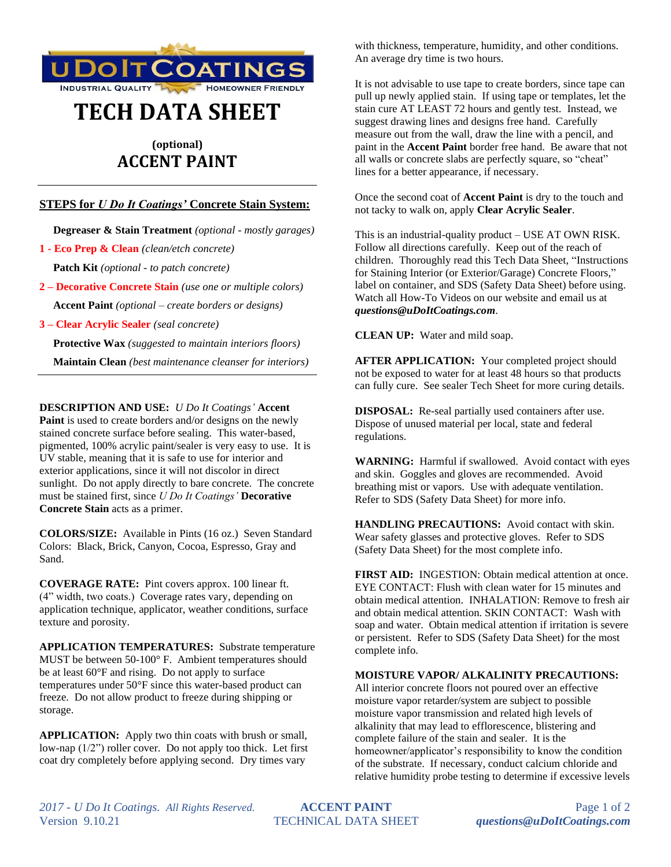

# **TECH DATA SHEET**

# **(optional) ACCENT PAINT**

## **STEPS for** *U Do It Coatings'* **Concrete Stain System:**

 **Degreaser & Stain Treatment** *(optional - mostly garages)*

**1 - Eco Prep & Clean** *(clean/etch concrete)*

 **Patch Kit** *(optional - to patch concrete)*

**2 – Decorative Concrete Stain** *(use one or multiple colors)*  **Accent Paint** *(optional – create borders or designs)*

**3 – Clear Acrylic Sealer** *(seal concrete)*

 **Protective Wax** *(suggested to maintain interiors floors)*

 **Maintain Clean** *(best maintenance cleanser for interiors)*

**DESCRIPTION AND USE:** *U Do It Coatings'* **Accent Paint** is used to create borders and/or designs on the newly stained concrete surface before sealing. This water-based, pigmented, 100% acrylic paint/sealer is very easy to use. It is UV stable, meaning that it is safe to use for interior and exterior applications, since it will not discolor in direct sunlight. Do not apply directly to bare concrete. The concrete must be stained first, since *U Do It Coatings'* **Decorative Concrete Stain** acts as a primer.

**COLORS/SIZE:** Available in Pints (16 oz.) Seven Standard Colors: Black, Brick, Canyon, Cocoa, Espresso, Gray and Sand.

**COVERAGE RATE:** Pint covers approx. 100 linear ft. (4" width, two coats.) Coverage rates vary, depending on application technique, applicator, weather conditions, surface texture and porosity.

**APPLICATION TEMPERATURES:** Substrate temperature MUST be between 50-100° F. Ambient temperatures should be at least 60°F and rising. Do not apply to surface temperatures under 50°F since this water-based product can freeze. Do not allow product to freeze during shipping or storage.

**APPLICATION:** Apply two thin coats with brush or small, low-nap  $(1/2)$  roller cover. Do not apply too thick. Let first coat dry completely before applying second. Dry times vary

with thickness, temperature, humidity, and other conditions. An average dry time is two hours.

It is not advisable to use tape to create borders, since tape can pull up newly applied stain. If using tape or templates, let the stain cure AT LEAST 72 hours and gently test. Instead, we suggest drawing lines and designs free hand. Carefully measure out from the wall, draw the line with a pencil, and paint in the **Accent Paint** border free hand. Be aware that not all walls or concrete slabs are perfectly square, so "cheat" lines for a better appearance, if necessary.

Once the second coat of **Accent Paint** is dry to the touch and not tacky to walk on, apply **Clear Acrylic Sealer**.

This is an industrial-quality product – USE AT OWN RISK. Follow all directions carefully. Keep out of the reach of children. Thoroughly read this Tech Data Sheet, "Instructions for Staining Interior (or Exterior/Garage) Concrete Floors," label on container, and SDS (Safety Data Sheet) before using. Watch all How-To Videos on our website and email us at *questions@uDoItCoatings.com*.

**CLEAN UP:** Water and mild soap.

**AFTER APPLICATION:** Your completed project should not be exposed to water for at least 48 hours so that products can fully cure. See sealer Tech Sheet for more curing details.

**DISPOSAL:** Re-seal partially used containers after use. Dispose of unused material per local, state and federal regulations.

**WARNING:** Harmful if swallowed. Avoid contact with eyes and skin. Goggles and gloves are recommended. Avoid breathing mist or vapors. Use with adequate ventilation. Refer to SDS (Safety Data Sheet) for more info.

**HANDLING PRECAUTIONS:** Avoid contact with skin. Wear safety glasses and protective gloves. Refer to SDS (Safety Data Sheet) for the most complete info.

**FIRST AID:** INGESTION: Obtain medical attention at once. EYE CONTACT: Flush with clean water for 15 minutes and obtain medical attention. INHALATION: Remove to fresh air and obtain medical attention. SKIN CONTACT: Wash with soap and water. Obtain medical attention if irritation is severe or persistent. Refer to SDS (Safety Data Sheet) for the most complete info.

### **MOISTURE VAPOR/ ALKALINITY PRECAUTIONS:**

All interior concrete floors not poured over an effective moisture vapor retarder/system are subject to possible moisture vapor transmission and related high levels of alkalinity that may lead to efflorescence, blistering and complete failure of the stain and sealer. It is the homeowner/applicator's responsibility to know the condition of the substrate. If necessary, conduct calcium chloride and relative humidity probe testing to determine if excessive levels